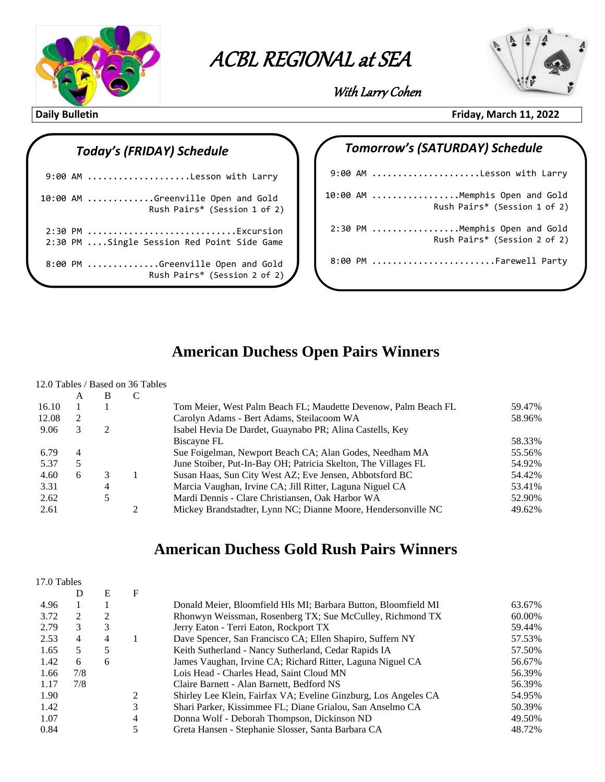

**ACBL Regional at Sea with Larry Cohen** ACBL REGIONAL at SEA

 $\overline{\phantom{a}}$ 



With Larry Cohen

### *Today's (FRIDAY) Schedule*

|  | 9:00 AM Lesson with Larry                                         |
|--|-------------------------------------------------------------------|
|  | 10:00 AM Greenville Open and Gold<br>Rush Pairs* (Session 1 of 2) |
|  | 2:30 PM Excursion<br>2:30 PM Single Session Red Point Side Game   |
|  | 8:00 PM Greenville Open and Gold<br>Rush Pairs* (Session 2 of 2)  |
|  |                                                                   |

### **Daily Bulletin Friday, March 11, 2022**

# *Tomorrow's (SATURDAY) Schedule* 9:00 AM .....................Lesson with Larry 10:00 AM .................Memphis Open and Gold Rush Pairs\* (Session 1 of 2) 2:30 PM .................Memphis Open and Gold Rush Pairs\* (Session 2 of 2) 8:00 PM .........................Farewell Party

### **American Duchess Open Pairs Winners**

#### 12.0 Tables / Based on 36 Tables

|       | A | В                           |   |                                                                |        |
|-------|---|-----------------------------|---|----------------------------------------------------------------|--------|
| 16.10 |   |                             |   | Tom Meier, West Palm Beach FL; Maudette Devenow, Palm Beach FL | 59.47% |
| 12.08 | 2 |                             |   | Carolyn Adams - Bert Adams, Steilacoom WA                      | 58.96% |
| 9.06  | 3 | $\mathcal{D}_{\mathcal{L}}$ |   | Isabel Hevia De Dardet, Guaynabo PR; Alina Castells, Key       |        |
|       |   |                             |   | Biscayne FL                                                    | 58.33% |
| 6.79  | 4 |                             |   | Sue Foigelman, Newport Beach CA; Alan Godes, Needham MA        | 55.56% |
| 5.37  |   |                             |   | June Stoiber, Put-In-Bay OH; Patricia Skelton, The Villages FL | 54.92% |
| 4.60  | 6 | 3                           |   | Susan Haas, Sun City West AZ; Eve Jensen, Abbotsford BC        | 54.42% |
| 3.31  |   | 4                           |   | Marcia Vaughan, Irvine CA; Jill Ritter, Laguna Niguel CA       | 53.41% |
| 2.62  |   | 5                           |   | Mardi Dennis - Clare Christiansen, Oak Harbor WA               | 52.90% |
| 2.61  |   |                             | ◠ | Mickey Brandstadter, Lynn NC; Dianne Moore, Hendersonville NC  | 49.62% |

### **American Duchess Gold Rush Pairs Winners**

| 17.0 Tables |     |                |   |                                                                 |        |
|-------------|-----|----------------|---|-----------------------------------------------------------------|--------|
|             | D   | Е              | F |                                                                 |        |
| 4.96        |     |                |   | Donald Meier, Bloomfield Hls MI; Barbara Button, Bloomfield MI  | 63.67% |
| 3.72        | 2   | $\overline{2}$ |   | Rhonwyn Weissman, Rosenberg TX; Sue McCulley, Richmond TX       | 60.00% |
| 2.79        | 3   | 3              |   | Jerry Eaton - Terri Eaton, Rockport TX                          | 59.44% |
| 2.53        | 4   | 4              |   | Dave Spencer, San Francisco CA; Ellen Shapiro, Suffern NY       | 57.53% |
| 1.65        | 5   | 5              |   | Keith Sutherland - Nancy Sutherland, Cedar Rapids IA            | 57.50% |
| 1.42        | 6   | 6              |   | James Vaughan, Irvine CA; Richard Ritter, Laguna Niguel CA      | 56.67% |
| 1.66        | 7/8 |                |   | Lois Head - Charles Head, Saint Cloud MN                        | 56.39% |
| 1.17        | 7/8 |                |   | Claire Barnett - Alan Barnett, Bedford NS                       | 56.39% |
| 1.90        |     |                | 2 | Shirley Lee Klein, Fairfax VA; Eveline Ginzburg, Los Angeles CA | 54.95% |
| 1.42        |     |                | 3 | Shari Parker, Kissimmee FL; Diane Grialou, San Anselmo CA       | 50.39% |
| 1.07        |     |                | 4 | Donna Wolf - Deborah Thompson, Dickinson ND                     | 49.50% |
| 0.84        |     |                | 5 | Greta Hansen - Stephanie Slosser, Santa Barbara CA              | 48.72% |